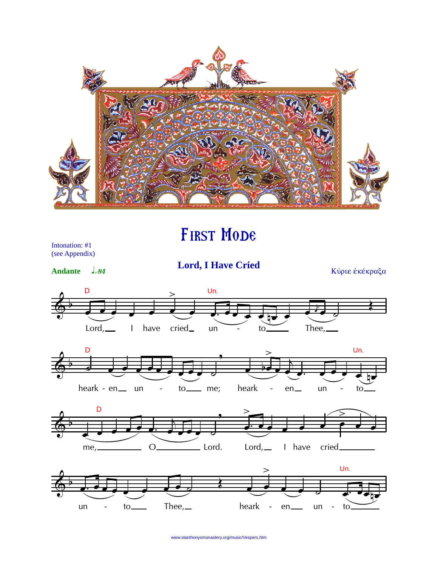

## First Mode

Intonation: #1 (see Appendix)

Andante **J**<sub>=84</sub>

**Lord, I Have Cried** Κύριε εκέκραξα









www.stanthonysmonastery.org/music/Vespers.htm